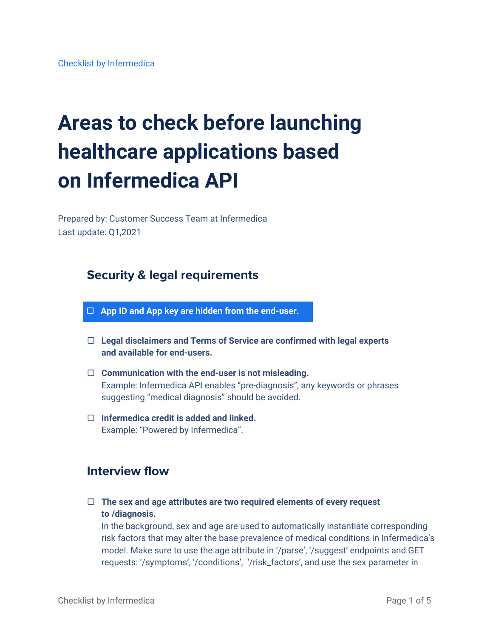# **Areas to check before launching healthcare applications based on Infermedica API**

Prepared by: Customer Success Team at Infermedica Last update: Q1,2021

# **Security & legal requirements**

- ▢ **App ID and App key are hidden from the end-user.**
- ▢ **Legal disclaimers and Terms of Service are confirmed with legal experts and available for end-users.**
- ▢ **Communication with the end-user is not misleading.** Example: Infermedica API enables "pre-diagnosis", any keywords or phrases suggesting "medical diagnosis" should be avoided.
- ▢ **Infermedica credit is added and linked.** Example: "Powered by [Infermedica"](https://infermedica.com/).

# **Interview flow**

▢ **The sex and age attributes are two required elements of every request to /diagnosis.**

In the background, sex and age are used to automatically instantiate corresponding risk factors that may alter the base prevalence of medical conditions in Infermedica's model. Make sure to use the age attribute in '/parse', '/suggest' endpoints and GET requests: '/symptoms', '/conditions', '/risk\_factors', and use the sex parameter in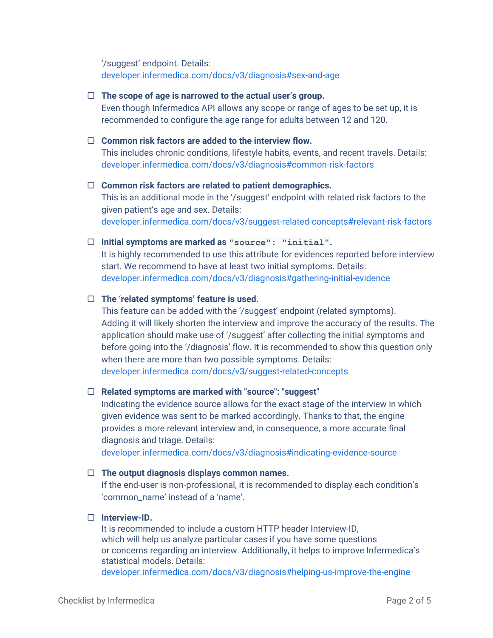'/suggest' endpoint. Details: [developer.infermedica.com/docs/v3/diagnosis#sex-and-age](https://developer.infermedica.com/docs/v3/diagnosis#sex-and-age)

# ▢ **The scope of age is narrowed to the actual user's group.**

Even though Infermedica API allows any scope or range of ages to be set up, it is recommended to configure the age range for adults between 12 and 120.

# ▢ **Common risk factors are added to the interview flow.**

This includes chronic conditions, lifestyle habits, events, and recent travels. Details: [developer.infermedica.com/docs/v3/diagnosis#common-risk-factors](https://developer.infermedica.com/docs/v3/diagnosis#common-risk-factors)

# ▢ **Common risk factors are related to patient demographics.**

This is an additional mode in the '/suggest' endpoint with related risk factors to the given patient's age and sex. Details: [developer.infermedica.com/docs/v3/suggest-related-concepts#relevant-risk-factors](https://developer.infermedica.com/docs/v3/suggest-related-concepts#relevant-risk-factors)

# ▢ **Initial symptoms are marked as "source": "initial".**

It is highly recommended to use this attribute for evidences reported before interview start. We recommend to have at least two initial symptoms. Details: [developer.infermedica.com/docs/v3/diagnosis#gathering-initial-evidence](https://developer.infermedica.com/docs/v3/diagnosis#gathering-initial-evidence)

# ▢ **The 'related symptoms' feature is used.**

This feature can be added with the '/suggest' endpoint (related symptoms). Adding it will likely shorten the interview and improve the accuracy of the results. The application should make use of '/suggest' after collecting the initial symptoms and before going into the '/diagnosis' flow. It is recommended to show this question only when there are more than two possible symptoms. Details: [developer.infermedica.com/docs/v3/suggest-related-concepts](https://developer.infermedica.com/docs/v3/suggest-related-concepts)

# ▢ **Related symptoms are marked with "source": "suggest"**

Indicating the evidence source allows for the exact stage of the interview in which given evidence was sent to be marked accordingly. Thanks to that, the engine provides a more relevant interview and, in consequence, a more accurate final diagnosis and triage. Details:

[developer.infermedica.com/docs/v3/diagnosis#indicating-evidence-source](https://developer.infermedica.com/docs/v3/diagnosis#indicating-evidence-source)

# ▢ **The output diagnosis displays common names.**

If the end-user is non-professional, it is recommended to display each condition's 'common\_name' instead of a 'name'.

# ▢ **Interview-ID.**

It is recommended to include a custom HTTP header Interview-ID, which will help us analyze particular cases if you have some questions or concerns regarding an interview. Additionally, it helps to improve Infermedica's statistical models. Details:

[developer.infermedica.com/docs/v3/diagnosis#helping-us-improve-the-engine](https://developer.infermedica.com/docs/v3/diagnosis#helping-us-improve-the-engine)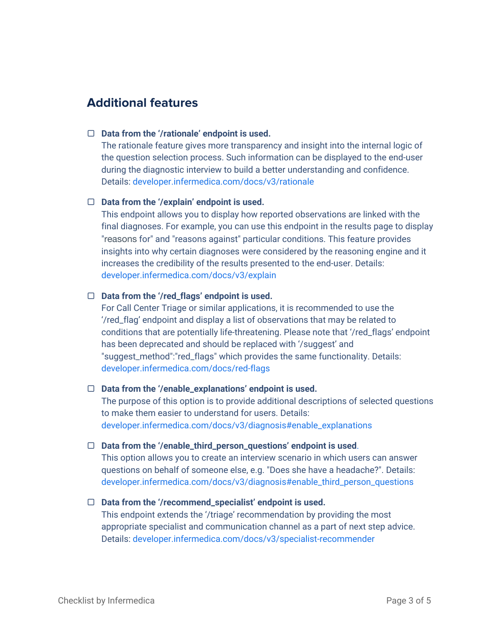# **Additional features**

#### ▢ **Data from the '/rationale' endpoint is used.**

The rationale feature gives more transparency and insight into the internal logic of the question selection process. Such information can be displayed to the end-user during the diagnostic interview to build a better understanding and confidence. Details: [developer.infermedica.com/docs/v3/rationale](https://developer.infermedica.com/docs/v3/rationale)

#### ▢ **Data from the '/explain' endpoint is used.**

This endpoint allows you to display how reported observations are linked with the final diagnoses. For example, you can use this endpoint in the results page to display "reasons for" and "reasons against" particular conditions. This feature provides insights into why certain diagnoses were considered by the reasoning engine and it increases the credibility of the results presented to the end-user. Details: [developer.infermedica.com/docs/v3/explain](https://developer.infermedica.com/docs/v3/explain)

# ▢ **Data from the '/red\_flags' endpoint is used.**

For Call Center Triage or similar applications, it is recommended to use the '/red\_flag' endpoint and display a list of observations that may be related to conditions that are potentially life-threatening. Please note that '/red\_flags' endpoint has been deprecated and should be replaced with '/suggest' and "suggest\_method":"red\_flags" which provides the same functionality. Details: [developer.infermedica.com/docs/red-flags](https://developer.infermedica.com/docs/red-flags)

#### ▢ **Data from the '/enable\_explanations' endpoint is used.**

The purpose of this option is to provide additional descriptions of selected questions to make them easier to understand for users. Details: [developer.infermedica.com/docs/v3/diagnosis#enable\\_explanations](https://developer.infermedica.com/docs/v3/diagnosis#enable_explanations)

#### ▢ **Data from the '/enable\_third\_person\_questions' endpoint is used**.

This option allows you to create an interview scenario in which users can answer questions on behalf of someone else, e.g. "Does she have a headache?". Details: [developer.infermedica.com/docs/v3/diagnosis#enable\\_third\\_person\\_questions](https://developer.infermedica.com/docs/v3/diagnosis#enable_third_person_questions)

# ▢ **Data from the '/recommend\_specialist' endpoint is used.**

This endpoint extends the '/triage' recommendation by providing the most appropriate specialist and communication channel as a part of next step advice. Details: [developer.infermedica.com/docs/v3/specialist-recommender](https://developer.infermedica.com/docs/v3/specialist-recommender)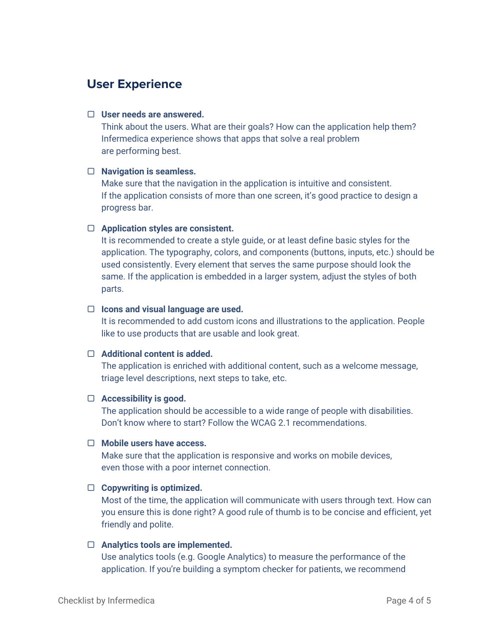# **User Experience**

# ▢ **User needs are answered.**

Think about the users. What are their goals? How can the application help them? Infermedica experience shows that apps that solve a real problem are performing best.

# ▢ **Navigation is seamless.**

Make sure that the navigation in the application is intuitive and consistent. If the application consists of more than one screen, it's good practice to design a progress bar.

#### ▢ **Application styles are consistent.**

It is recommended to create a style guide, or at least define basic styles for the application. The typography, colors, and components (buttons, inputs, etc.) should be used consistently. Every element that serves the same purpose should look the same. If the application is embedded in a larger system, adjust the styles of both parts.

#### ▢ **Icons and visual language are used.**

It is recommended to add custom icons and illustrations to the application. People like to use products that are usable and look great.

# ▢ **Additional content is added.**

The application is enriched with additional content, such as a welcome message, triage level descriptions, next steps to take, etc.

# ▢ **Accessibility is good.**

The application should be accessible to a wide range of people with disabilities. Don't know where to start? Follow the WCAG 2.1 recommendations.

# ▢ **Mobile users have access.**

Make sure that the application is responsive and works on mobile devices, even those with a poor internet connection.

# ▢ **Copywriting is optimized.**

Most of the time, the application will communicate with users through text. How can you ensure this is done right? A good rule of thumb is to be concise and efficient, yet friendly and polite.

#### ▢ **Analytics tools are implemented.**

Use analytics tools (e.g. Google Analytics) to measure the performance of the application. If you're building a symptom checker for patients, we recommend